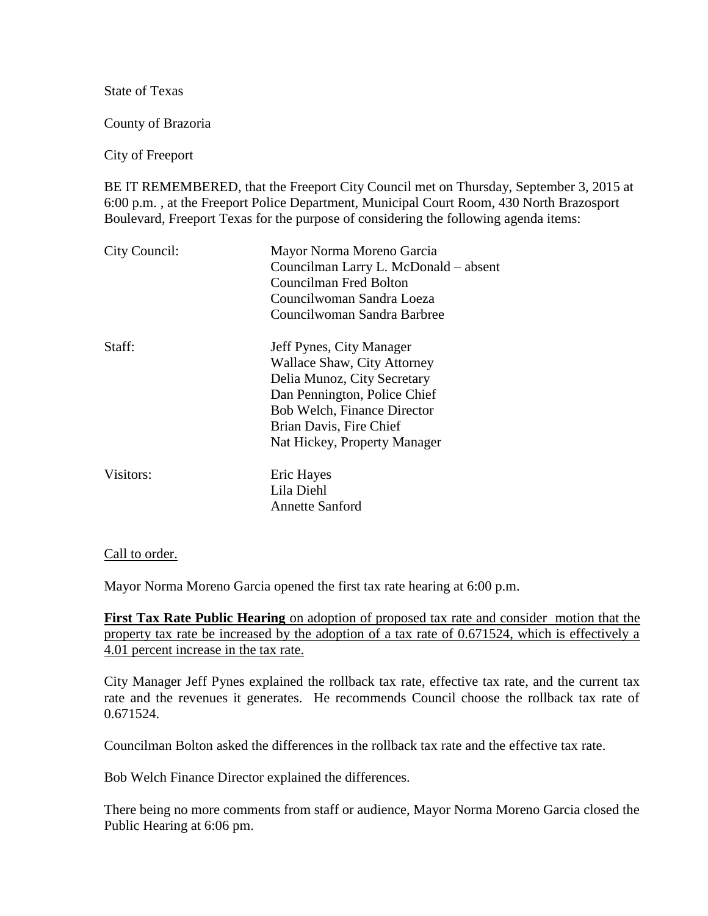State of Texas

County of Brazoria

City of Freeport

BE IT REMEMBERED, that the Freeport City Council met on Thursday, September 3, 2015 at 6:00 p.m. , at the Freeport Police Department, Municipal Court Room, 430 North Brazosport Boulevard, Freeport Texas for the purpose of considering the following agenda items:

| City Council: | Mayor Norma Moreno Garcia<br>Councilman Larry L. McDonald – absent<br>Councilman Fred Bolton<br>Councilwoman Sandra Loeza<br>Councilwoman Sandra Barbree                                                                |
|---------------|-------------------------------------------------------------------------------------------------------------------------------------------------------------------------------------------------------------------------|
| Staff:        | Jeff Pynes, City Manager<br>Wallace Shaw, City Attorney<br>Delia Munoz, City Secretary<br>Dan Pennington, Police Chief<br><b>Bob Welch, Finance Director</b><br>Brian Davis, Fire Chief<br>Nat Hickey, Property Manager |
| Visitors:     | Eric Hayes<br>Lila Diehl<br><b>Annette Sanford</b>                                                                                                                                                                      |

Call to order.

Mayor Norma Moreno Garcia opened the first tax rate hearing at 6:00 p.m.

**First Tax Rate Public Hearing** on adoption of proposed tax rate and consider motion that the property tax rate be increased by the adoption of a tax rate of 0.671524, which is effectively a 4.01 percent increase in the tax rate.

City Manager Jeff Pynes explained the rollback tax rate, effective tax rate, and the current tax rate and the revenues it generates. He recommends Council choose the rollback tax rate of 0.671524.

Councilman Bolton asked the differences in the rollback tax rate and the effective tax rate.

Bob Welch Finance Director explained the differences.

There being no more comments from staff or audience, Mayor Norma Moreno Garcia closed the Public Hearing at 6:06 pm.